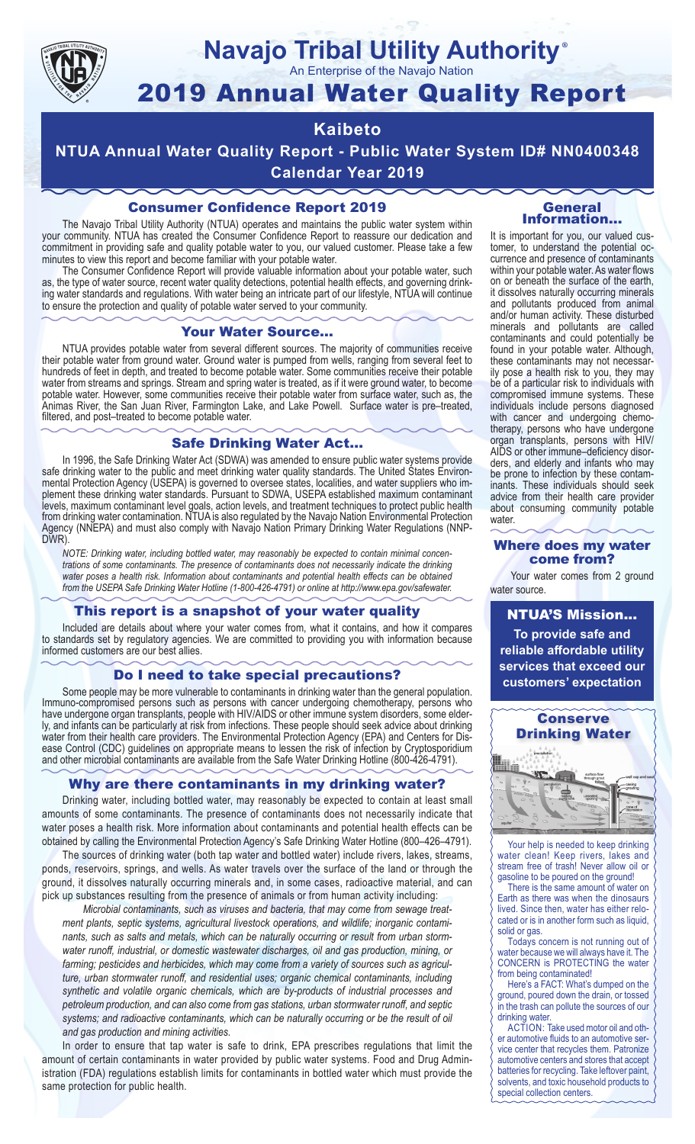

# **Navajo Tribal Utility Authority**

An Enterprise of the Navajo Nation

## 2019 Annual Water Quality Report

## **Kaibeto**

**NTUA Annual Water Quality Report - Public Water System ID# NN0400348 Calendar Year 2019**

## Consumer Confidence Report 2019

The Navajo Tribal Utility Authority (NTUA) operates and maintains the public water system within your community. NTUA has created the Consumer Confidence Report to reassure our dedication and commitment in providing safe and quality potable water to you, our valued customer. Please take a few minutes to view this report and become familiar with your potable water.

The Consumer Confidence Report will provide valuable information about your potable water, such as, the type of water source, recent water quality detections, potential health effects, and governing drinking water standards and regulations. With water being an intricate part of our lifestyle, NTUA will continue to ensure the protection and quality of potable water served to your community.

#### Your Water Source…

NTUA provides potable water from several different sources. The majority of communities receive their potable water from ground water. Ground water is pumped from wells, ranging from several feet to hundreds of feet in depth, and treated to become potable water. Some communities receive their potable water from streams and springs. Stream and spring water is treated, as if it were ground water, to become potable water. However, some communities receive their potable water from surface water, such as, the Animas River, the San Juan River, Farmington Lake, and Lake Powell. Surface water is pre–treated, filtered, and post–treated to become potable water.

#### Safe Drinking Water Act…

In 1996, the Safe Drinking Water Act (SDWA) was amended to ensure public water systems provide safe drinking water to the public and meet drinking water quality standards. The United States Environmental Protection Agency (USEPA) is governed to oversee states, localities, and water suppliers who implement these drinking water standards. Pursuant to SDWA, USEPA established maximum contaminant levels, maximum contaminant level goals, action levels, and treatment techniques to protect public health from drinking water contamination. NTUA is also regulated by the Navajo Nation Environmental Protection Agency (NNEPA) and must also comply with Navajo Nation Primary Drinking Water Regulations (NNP-DWR)

*NOTE: Drinking water, including bottled water, may reasonably be expected to contain minimal concentrations of some contaminants. The presence of contaminants does not necessarily indicate the drinking water poses a health risk. Information about contaminants and potential health effects can be obtained from the USEPA Safe Drinking Water Hotline (1-800-426-4791) or online at http://www.epa.gov/safewater.*

### This report is a snapshot of your water quality

Included are details about where your water comes from, what it contains, and how it compares to standards set by regulatory agencies. We are committed to providing you with information because informed customers are our best allies.

#### Do I need to take special precautions?

Some people may be more vulnerable to contaminants in drinking water than the general population. Immuno-compromised persons such as persons with cancer undergoing chemotherapy, persons who have undergone organ transplants, people with HIV/AIDS or other immune system disorders, some elderly, and infants can be particularly at risk from infections. These people should seek advice about drinking water from their health care providers. The Environmental Protection Agency (EPA) and Centers for Disease Control (CDC) guidelines on appropriate means to lessen the risk of infection by Cryptosporidium and other microbial contaminants are available from the Safe Water Drinking Hotline (800-426-4791).

### Why are there contaminants in my drinking water?

Drinking water, including bottled water, may reasonably be expected to contain at least small amounts of some contaminants. The presence of contaminants does not necessarily indicate that water poses a health risk. More information about contaminants and potential health effects can be obtained by calling the Environmental Protection Agency's Safe Drinking Water Hotline (800–426–4791).

The sources of drinking water (both tap water and bottled water) include rivers, lakes, streams, ponds, reservoirs, springs, and wells. As water travels over the surface of the land or through the ground, it dissolves naturally occurring minerals and, in some cases, radioactive material, and can pick up substances resulting from the presence of animals or from human activity including:

*Microbial contaminants, such as viruses and bacteria, that may come from sewage treatment plants, septic systems, agricultural livestock operations, and wildlife; inorganic contaminants, such as salts and metals, which can be naturally occurring or result from urban stormwater runoff, industrial, or domestic wastewater discharges, oil and gas production, mining, or farming; pesticides and herbicides, which may come from a variety of sources such as agriculture, urban stormwater runoff, and residential uses; organic chemical contaminants, including synthetic and volatile organic chemicals, which are by-products of industrial processes and petroleum production, and can also come from gas stations, urban stormwater runoff, and septic systems; and radioactive contaminants, which can be naturally occurring or be the result of oil and gas production and mining activities.*

In order to ensure that tap water is safe to drink, EPA prescribes regulations that limit the amount of certain contaminants in water provided by public water systems. Food and Drug Administration (FDA) regulations establish limits for contaminants in bottled water which must provide the same protection for public health.

#### General Information…

®

It is important for you, our valued customer, to understand the potential occurrence and presence of contaminants within your potable water. As water flows on or beneath the surface of the earth, it dissolves naturally occurring minerals and pollutants produced from animal and/or human activity. These disturbed minerals and pollutants are called contaminants and could potentially be found in your potable water. Although, these contaminants may not necessarily pose a health risk to you, they may be of a particular risk to individuals with compromised immune systems. These individuals include persons diagnosed with cancer and undergoing chemo-<br>therapy, persons who have undergone organ transplants, persons with HIV/ AIDS or other immune–deficiency disor- ders, and elderly and infants who may be prone to infection by these contam- inants. These individuals should seek advice from their health care provider about consuming community potable water.

#### Where does my water come from?

Your water comes from 2 ground water source.

NTUA'S Mission... **To provide safe and reliable affordable utility services that exceed our customers' expectation**



Your help is needed to keep drinking water clean! Keep rivers, lakes and stream free of trash! Never allow oil or gasoline to be poured on the ground!

There is the same amount of water on Earth as there was when the dinosaurs lived. Since then, water has either relocated or is in another form such as liquid, solid or gas.

Todays concern is not running out of water because we will always have it. The CONCERN is PROTECTING the water from being contaminated!

Here's a FACT: What's dumped on the ground, poured down the drain, or tossed in the trash can pollute the sources of our drinking water.

ACTION: Take used motor oil and other automotive fluids to an automotive service center that recycles them. Patronize automotive centers and stores that accept batteries for recycling. Take leftover paint, solvents, and toxic household products to special collection centers.